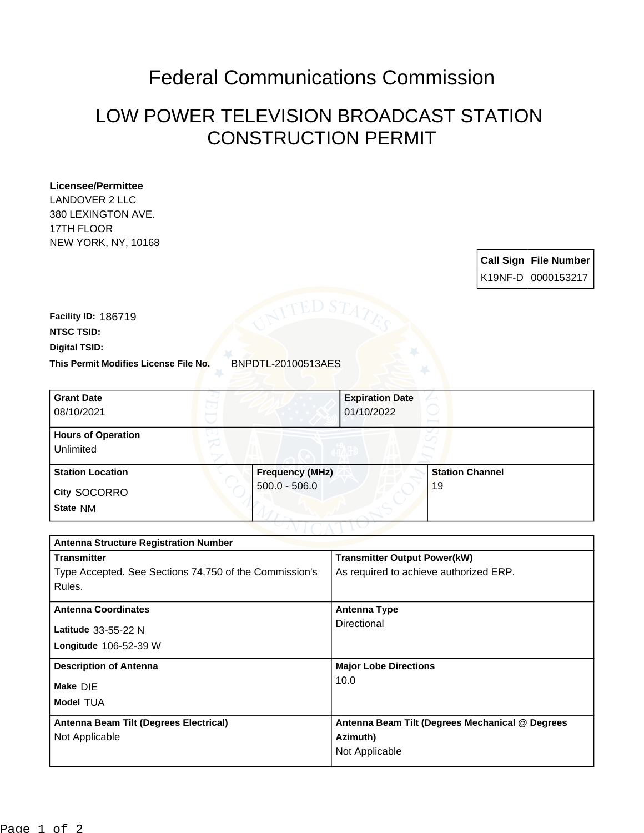## Federal Communications Commission

## LOW POWER TELEVISION BROADCAST STATION CONSTRUCTION PERMIT

## **Licensee/Permittee**

LANDOVER 2 LLC 380 LEXINGTON AVE. 17TH FLOOR NEW YORK, NY, 10168

> **Call Sign File Number** K19NF-D 0000153217

**This Permit Modifies License File No.** BNPDTL-20100513AES **Digital TSID: NTSC TSID: Facility ID:** 186719

| <b>Grant Date</b><br>08/10/2021        | <b>Expiration Date</b><br>01/10/2022 |                        |
|----------------------------------------|--------------------------------------|------------------------|
| <b>Hours of Operation</b><br>Unlimited |                                      |                        |
| <b>Station Location</b>                | <b>Frequency (MHz)</b>               | <b>Station Channel</b> |
| City SOCORRO<br>State NM               | $500.0 - 506.0$                      | 19                     |

| <b>Antenna Structure Registration Number</b>           |                                                 |  |  |
|--------------------------------------------------------|-------------------------------------------------|--|--|
| <b>Transmitter</b>                                     | <b>Transmitter Output Power(kW)</b>             |  |  |
| Type Accepted. See Sections 74.750 of the Commission's | As required to achieve authorized ERP.          |  |  |
| Rules.                                                 |                                                 |  |  |
| <b>Antenna Coordinates</b>                             | <b>Antenna Type</b>                             |  |  |
| Latitude 33-55-22 N                                    | Directional                                     |  |  |
| Longitude 106-52-39 W                                  |                                                 |  |  |
|                                                        |                                                 |  |  |
| <b>Description of Antenna</b>                          | <b>Major Lobe Directions</b>                    |  |  |
| Make DIE                                               | 10.0                                            |  |  |
|                                                        |                                                 |  |  |
| <b>Model TUA</b>                                       |                                                 |  |  |
| Antenna Beam Tilt (Degrees Electrical)                 | Antenna Beam Tilt (Degrees Mechanical @ Degrees |  |  |
| Not Applicable                                         | Azimuth)                                        |  |  |
|                                                        | Not Applicable                                  |  |  |
|                                                        |                                                 |  |  |